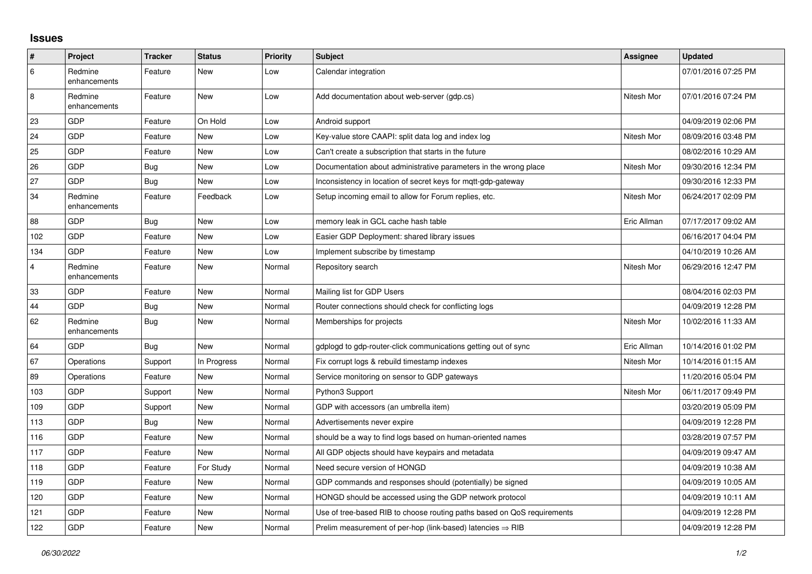## **Issues**

| $\sharp$       | Project                 | <b>Tracker</b> | <b>Status</b> | <b>Priority</b> | <b>Subject</b>                                                          | <b>Assignee</b> | <b>Updated</b>      |
|----------------|-------------------------|----------------|---------------|-----------------|-------------------------------------------------------------------------|-----------------|---------------------|
| 6              | Redmine<br>enhancements | Feature        | <b>New</b>    | Low             | Calendar integration                                                    |                 | 07/01/2016 07:25 PM |
| 8              | Redmine<br>enhancements | Feature        | New           | Low             | Add documentation about web-server (gdp.cs)                             | Nitesh Mor      | 07/01/2016 07:24 PM |
| 23             | GDP                     | Feature        | On Hold       | Low             | Android support                                                         |                 | 04/09/2019 02:06 PM |
| 24             | <b>GDP</b>              | Feature        | New           | Low             | Key-value store CAAPI: split data log and index log                     | Nitesh Mor      | 08/09/2016 03:48 PM |
| 25             | <b>GDP</b>              | Feature        | <b>New</b>    | Low             | Can't create a subscription that starts in the future                   |                 | 08/02/2016 10:29 AM |
| 26             | GDP                     | Bug            | <b>New</b>    | Low             | Documentation about administrative parameters in the wrong place        | Nitesh Mor      | 09/30/2016 12:34 PM |
| 27             | GDP                     | <b>Bug</b>     | <b>New</b>    | Low             | Inconsistency in location of secret keys for mqtt-gdp-gateway           |                 | 09/30/2016 12:33 PM |
| 34             | Redmine<br>enhancements | Feature        | Feedback      | Low             | Setup incoming email to allow for Forum replies, etc.                   | Nitesh Mor      | 06/24/2017 02:09 PM |
| 88             | GDP                     | Bug            | <b>New</b>    | Low             | memory leak in GCL cache hash table                                     | Eric Allman     | 07/17/2017 09:02 AM |
| 102            | <b>GDP</b>              | Feature        | <b>New</b>    | Low             | Easier GDP Deployment: shared library issues                            |                 | 06/16/2017 04:04 PM |
| 134            | <b>GDP</b>              | Feature        | New           | Low             | Implement subscribe by timestamp                                        |                 | 04/10/2019 10:26 AM |
| $\overline{4}$ | Redmine<br>enhancements | Feature        | <b>New</b>    | Normal          | Repository search                                                       | Nitesh Mor      | 06/29/2016 12:47 PM |
| 33             | <b>GDP</b>              | Feature        | <b>New</b>    | Normal          | Mailing list for GDP Users                                              |                 | 08/04/2016 02:03 PM |
| 44             | <b>GDP</b>              | Bug            | <b>New</b>    | Normal          | Router connections should check for conflicting logs                    |                 | 04/09/2019 12:28 PM |
| 62             | Redmine<br>enhancements | <b>Bug</b>     | <b>New</b>    | Normal          | Memberships for projects                                                | Nitesh Mor      | 10/02/2016 11:33 AM |
| 64             | <b>GDP</b>              | Bug            | <b>New</b>    | Normal          | gdplogd to gdp-router-click communications getting out of sync          | Eric Allman     | 10/14/2016 01:02 PM |
| 67             | Operations              | Support        | In Progress   | Normal          | Fix corrupt logs & rebuild timestamp indexes                            | Nitesh Mor      | 10/14/2016 01:15 AM |
| 89             | Operations              | Feature        | <b>New</b>    | Normal          | Service monitoring on sensor to GDP gateways                            |                 | 11/20/2016 05:04 PM |
| 103            | GDP                     | Support        | <b>New</b>    | Normal          | Python3 Support                                                         | Nitesh Mor      | 06/11/2017 09:49 PM |
| 109            | <b>GDP</b>              | Support        | New           | Normal          | GDP with accessors (an umbrella item)                                   |                 | 03/20/2019 05:09 PM |
| 113            | GDP                     | Bug            | <b>New</b>    | Normal          | Advertisements never expire                                             |                 | 04/09/2019 12:28 PM |
| 116            | <b>GDP</b>              | Feature        | <b>New</b>    | Normal          | should be a way to find logs based on human-oriented names              |                 | 03/28/2019 07:57 PM |
| 117            | <b>GDP</b>              | Feature        | New           | Normal          | All GDP objects should have keypairs and metadata                       |                 | 04/09/2019 09:47 AM |
| 118            | GDP                     | Feature        | For Study     | Normal          | Need secure version of HONGD                                            |                 | 04/09/2019 10:38 AM |
| 119            | <b>GDP</b>              | Feature        | <b>New</b>    | Normal          | GDP commands and responses should (potentially) be signed               |                 | 04/09/2019 10:05 AM |
| 120            | <b>GDP</b>              | Feature        | New           | Normal          | HONGD should be accessed using the GDP network protocol                 |                 | 04/09/2019 10:11 AM |
| 121            | GDP                     | Feature        | <b>New</b>    | Normal          | Use of tree-based RIB to choose routing paths based on QoS requirements |                 | 04/09/2019 12:28 PM |
| 122            | GDP                     | Feature        | <b>New</b>    | Normal          | Prelim measurement of per-hop (link-based) latencies $\Rightarrow$ RIB  |                 | 04/09/2019 12:28 PM |